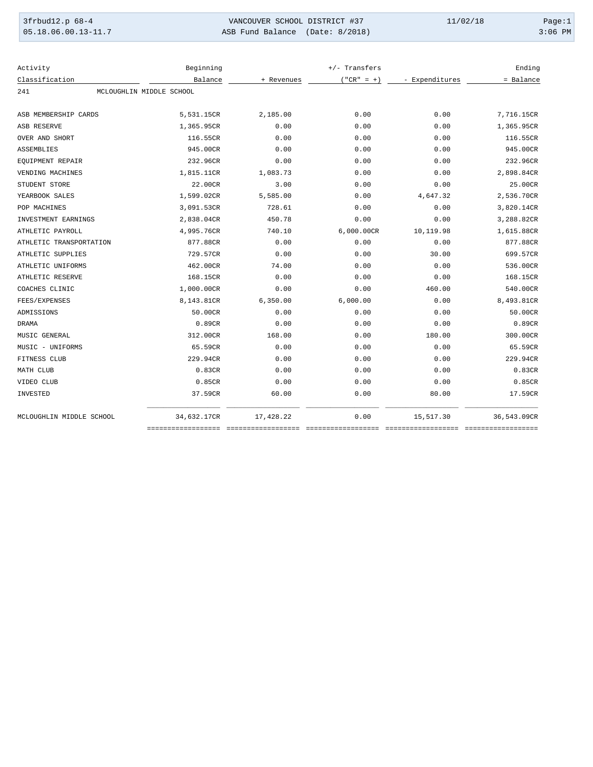| 3frbud12.p 68-4       | VANCOUVER SCHOOL DISTRICT #37   | 11/02/18 | Page:1    |
|-----------------------|---------------------------------|----------|-----------|
| $05.18.06.00.13-11.7$ | ASB Fund Balance (Date: 8/2018) |          | $3:06$ PM |

| Activity                 | Beginning                |            | $+/-$ Transfers |                | Ending      |
|--------------------------|--------------------------|------------|-----------------|----------------|-------------|
| Classification           | Balance                  | + Revenues | $("CR" = +)$    | - Expenditures | = Balance   |
| 241                      | MCLOUGHLIN MIDDLE SCHOOL |            |                 |                |             |
| ASB MEMBERSHIP CARDS     | 5,531.15CR               | 2,185.00   | 0.00            | 0.00           | 7,716.15CR  |
| <b>ASB RESERVE</b>       | 1,365.95CR               | 0.00       | 0.00            | 0.00           | 1,365.95CR  |
| OVER AND SHORT           | 116.55CR                 | 0.00       | 0.00            | 0.00           | 116.55CR    |
| <b>ASSEMBLIES</b>        | 945.00CR                 | 0.00       | 0.00            | 0.00           | 945.00CR    |
| EQUIPMENT REPAIR         | 232.96CR                 | 0.00       | 0.00            | 0.00           | 232.96CR    |
| VENDING MACHINES         | 1,815.11CR               | 1,083.73   | 0.00            | 0.00           | 2,898.84CR  |
| STUDENT STORE            | 22.00CR                  | 3.00       | 0.00            | 0.00           | 25.00CR     |
| YEARBOOK SALES           | 1,599.02CR               | 5,585.00   | 0.00            | 4,647.32       | 2,536.70CR  |
| POP MACHINES             | 3,091.53CR               | 728.61     | 0.00            | 0.00           | 3,820.14CR  |
| INVESTMENT EARNINGS      | 2,838.04CR               | 450.78     | 0.00            | 0.00           | 3,288.82CR  |
| ATHLETIC PAYROLL         | 4,995.76CR               | 740.10     | 6,000.00CR      | 10,119.98      | 1,615.88CR  |
| ATHLETIC TRANSPORTATION  | 877.88CR                 | 0.00       | 0.00            | 0.00           | 877.88CR    |
| ATHLETIC SUPPLIES        | 729.57CR                 | 0.00       | 0.00            | 30.00          | 699.57CR    |
| ATHLETIC UNIFORMS        | 462.00CR                 | 74.00      | 0.00            | 0.00           | 536.00CR    |
| ATHLETIC RESERVE         | 168.15CR                 | 0.00       | 0.00            | 0.00           | 168.15CR    |
| COACHES CLINIC           | 1,000.00CR               | 0.00       | 0.00            | 460.00         | 540.00CR    |
| FEES/EXPENSES            | 8,143.81CR               | 6, 350.00  | 6,000.00        | 0.00           | 8,493.81CR  |
| ADMISSIONS               | 50.00CR                  | 0.00       | 0.00            | 0.00           | 50.00CR     |
| <b>DRAMA</b>             | 0.89CR                   | 0.00       | 0.00            | 0.00           | 0.89CR      |
| MUSIC GENERAL            | 312.00CR                 | 168.00     | 0.00            | 180.00         | 300.00CR    |
| MUSIC - UNIFORMS         | 65.59CR                  | 0.00       | 0.00            | 0.00           | 65.59CR     |
| FITNESS CLUB             | 229.94CR                 | 0.00       | 0.00            | 0.00           | 229.94CR    |
| MATH CLUB                | 0.83CR                   | 0.00       | 0.00            | 0.00           | 0.83CR      |
| VIDEO CLUB               | 0.85CR                   | 0.00       | 0.00            | 0.00           | 0.85CR      |
| INVESTED                 | 37.59CR                  | 60.00      | 0.00            | 80.00          | 17.59CR     |
| MCLOUGHLIN MIDDLE SCHOOL | 34,632.17CR              | 17,428.22  | 0.00            | 15,517.30      | 36,543.09CR |
|                          |                          |            |                 |                |             |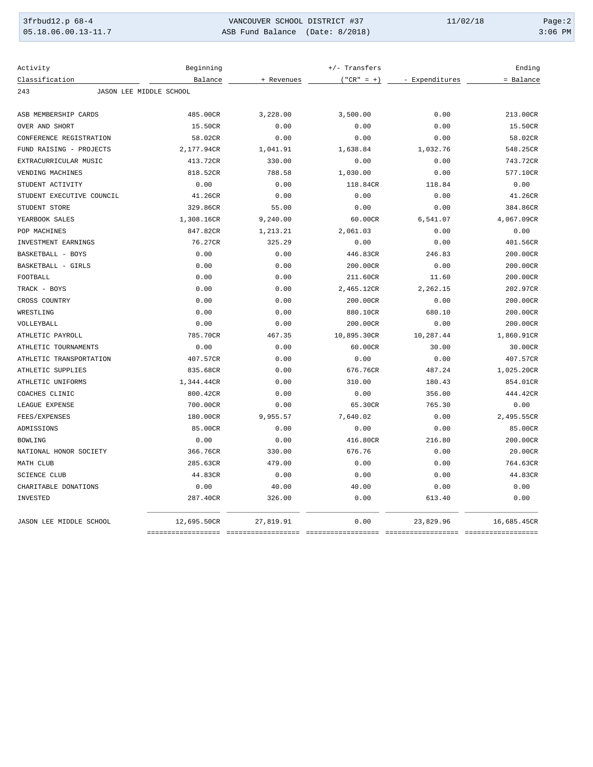| 3frbud12.p 68-4       | VANCOUVER SCHOOL DISTRICT #37   | 11/02/18 | Page:2    |
|-----------------------|---------------------------------|----------|-----------|
| $05.18.06.00.13-11.7$ | ASB Fund Balance (Date: 8/2018) |          | $3:06$ PM |

| Activity                       | Beginning    |            | +/- Transfers |                | Ending      |
|--------------------------------|--------------|------------|---------------|----------------|-------------|
| Classification                 | Balance      | + Revenues | $("CR" = +)$  | - Expenditures | = Balance   |
| JASON LEE MIDDLE SCHOOL<br>243 |              |            |               |                |             |
|                                |              |            |               |                |             |
| ASB MEMBERSHIP CARDS           | 485.00CR     | 3,228.00   | 3,500.00      | 0.00           | 213.00CR    |
| OVER AND SHORT                 | 15.50CR      | 0.00       | 0.00          | 0.00           | 15.50CR     |
| CONFERENCE REGISTRATION        | 58.02CR      | 0.00       | 0.00          | 0.00           | 58.02CR     |
| FUND RAISING - PROJECTS        | 2,177.94CR   | 1,041.91   | 1,638.84      | 1,032.76       | 548.25CR    |
| EXTRACURRICULAR MUSIC          | 413.72CR     | 330.00     | 0.00          | 0.00           | 743.72CR    |
| VENDING MACHINES               | 818.52CR     | 788.58     | 1,030.00      | 0.00           | 577.10CR    |
| STUDENT ACTIVITY               | 0.00         | 0.00       | 118.84CR      | 118.84         | 0.00        |
| STUDENT EXECUTIVE COUNCIL      | 41.26CR      | 0.00       | 0.00          | 0.00           | 41.26CR     |
| STUDENT STORE                  | 329.86CR     | 55.00      | 0.00          | 0.00           | 384.86CR    |
| YEARBOOK SALES                 | 1,308.16CR   | 9,240.00   | 60.00CR       | 6,541.07       | 4,067.09CR  |
| POP MACHINES                   | 847.82CR     | 1,213.21   | 2,061.03      | 0.00           | 0.00        |
| INVESTMENT EARNINGS            | 76.27CR      | 325.29     | 0.00          | 0.00           | 401.56CR    |
| BASKETBALL - BOYS              | 0.00         | 0.00       | 446.83CR      | 246.83         | 200.00CR    |
| BASKETBALL - GIRLS             | 0.00         | 0.00       | 200.00CR      | 0.00           | 200.00CR    |
| FOOTBALL                       | 0.00         | 0.00       | 211.60CR      | 11.60          | 200.00CR    |
| TRACK - BOYS                   | 0.00         | 0.00       | 2,465.12CR    | 2,262.15       | 202.97CR    |
| CROSS COUNTRY                  | 0.00         | 0.00       | 200.00CR      | 0.00           | 200.00CR    |
| WRESTLING                      | 0.00         | 0.00       | 880.10CR      | 680.10         | 200.00CR    |
| VOLLEYBALL                     | 0.00         | 0.00       | 200.00CR      | 0.00           | 200.00CR    |
| ATHLETIC PAYROLL               | 785.70CR     | 467.35     | 10,895.30CR   | 10,287.44      | 1,860.91CR  |
| ATHLETIC TOURNAMENTS           | 0.00         | 0.00       | 60.00CR       | 30.00          | 30.00CR     |
| ATHLETIC TRANSPORTATION        | 407.57CR     | 0.00       | 0.00          | 0.00           | 407.57CR    |
| ATHLETIC SUPPLIES              | 835.68CR     | 0.00       | 676.76CR      | 487.24         | 1,025.20CR  |
| ATHLETIC UNIFORMS              | 1,344.44CR   | 0.00       | 310.00        | 180.43         | 854.01CR    |
| COACHES CLINIC                 | 800.42CR     | 0.00       | 0.00          | 356.00         | 444.42CR    |
| LEAGUE EXPENSE                 | 700.00CR     | 0.00       | 65.30CR       | 765.30         | 0.00        |
| FEES/EXPENSES                  | 180.00CR     | 9,955.57   | 7,640.02      | 0.00           | 2,495.55CR  |
| ADMISSIONS                     | 85.00CR      | 0.00       | 0.00          | 0.00           | 85.00CR     |
| <b>BOWLING</b>                 | 0.00         | 0.00       | 416.80CR      | 216.80         | 200.00CR    |
| NATIONAL HONOR SOCIETY         | 366.76CR     | 330.00     | 676.76        | 0.00           | 20.00CR     |
| MATH CLUB                      | 285.63CR     | 479.00     | 0.00          | 0.00           | 764.63CR    |
| <b>SCIENCE CLUB</b>            | 44.83CR      | 0.00       | 0.00          | 0.00           | 44.83CR     |
| CHARITABLE DONATIONS           | 0.00         | 40.00      | 40.00         | 0.00           | 0.00        |
| INVESTED                       | 287.40CR     | 326.00     | 0.00          | 613.40         | 0.00        |
| JASON LEE MIDDLE SCHOOL        | 12,695.50CR  | 27,819.91  | 0.00          | 23,829.96      | 16,685.45CR |
|                                | ============ |            |               |                |             |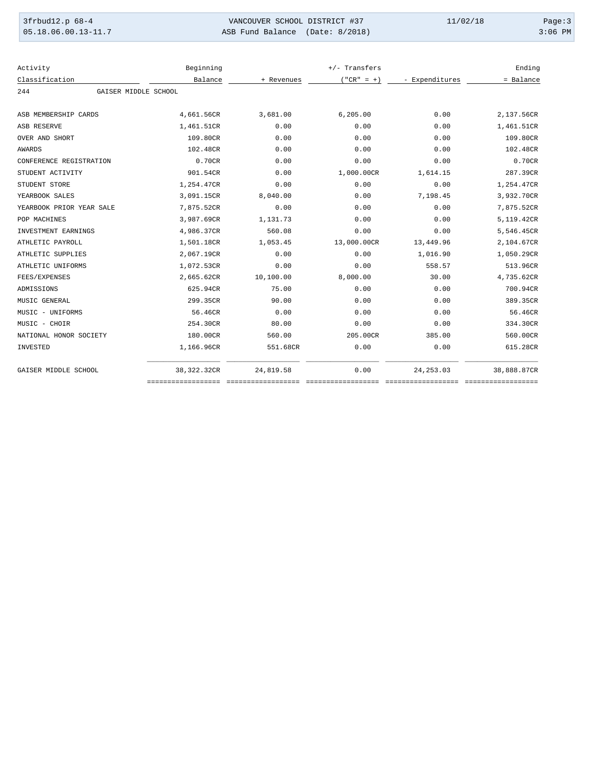| 3frbud12.p 68-4         | VANCOUVER SCHOOL DISTRICT #37   | 11/02/18 | Page:3    |
|-------------------------|---------------------------------|----------|-----------|
| $05.18.06.00.13 - 11.7$ | ASB Fund Balance (Date: 8/2018) |          | $3:06$ PM |

| Activity                 | Beginning            |            | $+/-$ Transfers |                | Ending      |
|--------------------------|----------------------|------------|-----------------|----------------|-------------|
| Classification           | Balance              | + Revenues | $("CR" = +)$    | - Expenditures | = Balance   |
| 244                      | GAISER MIDDLE SCHOOL |            |                 |                |             |
|                          |                      |            |                 |                |             |
| ASB MEMBERSHIP CARDS     | 4,661.56CR           | 3,681.00   | 6, 205.00       | 0.00           | 2,137.56CR  |
| ASB RESERVE              | 1,461.51CR           | 0.00       | 0.00            | 0.00           | 1,461.51CR  |
| OVER AND SHORT           | 109.80CR             | 0.00       | 0.00            | 0.00           | 109.80CR    |
| <b>AWARDS</b>            | 102.48CR             | 0.00       | 0.00            | 0.00           | 102.48CR    |
| CONFERENCE REGISTRATION  | 0.70CR               | 0.00       | 0.00            | 0.00           | 0.70CR      |
| STUDENT ACTIVITY         | 901.54CR             | 0.00       | 1,000.00CR      | 1,614.15       | 287.39CR    |
| STUDENT STORE            | 1,254.47CR           | 0.00       | 0.00            | 0.00           | 1,254.47CR  |
| YEARBOOK SALES           | 3,091.15CR           | 8,040.00   | 0.00            | 7,198.45       | 3,932.70CR  |
| YEARBOOK PRIOR YEAR SALE | 7,875.52CR           | 0.00       | 0.00            | 0.00           | 7,875.52CR  |
| POP MACHINES             | 3,987.69CR           | 1,131.73   | 0.00            | 0.00           | 5,119.42CR  |
| INVESTMENT EARNINGS      | 4,986.37CR           | 560.08     | 0.00            | 0.00           | 5,546.45CR  |
| ATHLETIC PAYROLL         | 1,501.18CR           | 1,053.45   | 13,000.00CR     | 13,449.96      | 2,104.67CR  |
| ATHLETIC SUPPLIES        | 2,067.19CR           | 0.00       | 0.00            | 1,016.90       | 1,050.29CR  |
| ATHLETIC UNIFORMS        | 1,072.53CR           | 0.00       | 0.00            | 558.57         | 513.96CR    |
| FEES/EXPENSES            | 2,665.62CR           | 10,100.00  | 8,000.00        | 30.00          | 4,735.62CR  |
| ADMISSIONS               | 625.94CR             | 75.00      | 0.00            | 0.00           | 700.94CR    |
| MUSIC GENERAL            | 299.35CR             | 90.00      | 0.00            | 0.00           | 389.35CR    |
| MUSIC - UNIFORMS         | 56.46CR              | 0.00       | 0.00            | 0.00           | 56.46CR     |
| MUSIC - CHOIR            | 254.30CR             | 80.00      | 0.00            | 0.00           | 334.30CR    |
| NATIONAL HONOR SOCIETY   | 180.00CR             | 560.00     | 205.00CR        | 385.00         | 560.00CR    |
| INVESTED                 | 1,166.96CR           | 551.68CR   | 0.00            | 0.00           | 615.28CR    |
| GAISER MIDDLE SCHOOL     | 38,322.32CR          | 24,819.58  | 0.00            | 24, 253.03     | 38,888.87CR |
|                          |                      |            |                 |                |             |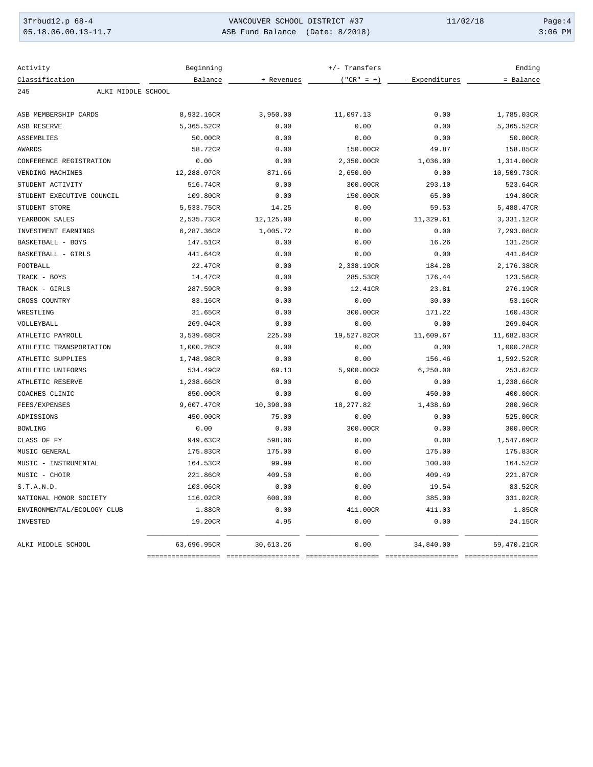| 3frbud12.p 68-4       | VANCOUVER SCHOOL DISTRICT #37   | 11/02/18 | Page:4    |
|-----------------------|---------------------------------|----------|-----------|
| $05.18.06.00.13-11.7$ | ASB Fund Balance (Date: 8/2018) |          | $3:06$ PM |

| Activity                   | Beginning   |            | +/- Transfers |                | Ending      |
|----------------------------|-------------|------------|---------------|----------------|-------------|
| Classification             | Balance     | + Revenues | $("CR" = +)$  | - Expenditures | = Balance   |
| ALKI MIDDLE SCHOOL<br>245  |             |            |               |                |             |
| ASB MEMBERSHIP CARDS       | 8,932.16CR  | 3,950.00   | 11,097.13     | 0.00           | 1,785.03CR  |
| ASB RESERVE                | 5,365.52CR  | 0.00       | 0.00          | 0.00           | 5,365.52CR  |
| ASSEMBLIES                 | 50.00CR     | 0.00       | 0.00          | 0.00           | 50.00CR     |
| <b>AWARDS</b>              | 58.72CR     | 0.00       | 150.00CR      | 49.87          | 158.85CR    |
| CONFERENCE REGISTRATION    | 0.00        | 0.00       | 2,350.00CR    | 1,036.00       | 1,314.00CR  |
| VENDING MACHINES           | 12,288.07CR | 871.66     | 2,650.00      | 0.00           | 10,509.73CR |
| STUDENT ACTIVITY           | 516.74CR    | 0.00       | 300.00CR      | 293.10         | 523.64CR    |
| STUDENT EXECUTIVE COUNCIL  | 109.80CR    | 0.00       | 150.00CR      | 65.00          | 194.80CR    |
| STUDENT STORE              | 5,533.75CR  | 14.25      | 0.00          | 59.53          | 5,488.47CR  |
| YEARBOOK SALES             | 2,535.73CR  | 12,125.00  | 0.00          | 11,329.61      | 3,331.12CR  |
| INVESTMENT EARNINGS        | 6,287.36CR  | 1,005.72   | 0.00          | 0.00           | 7,293.08CR  |
| BASKETBALL - BOYS          | 147.51CR    | 0.00       | 0.00          | 16.26          | 131.25CR    |
| BASKETBALL - GIRLS         | 441.64CR    | 0.00       | 0.00          | 0.00           | 441.64CR    |
| FOOTBALL                   | 22.47CR     | 0.00       | 2,338.19CR    | 184.28         | 2,176.38CR  |
| TRACK - BOYS               | 14.47CR     | 0.00       | 285.53CR      | 176.44         | 123.56CR    |
| TRACK - GIRLS              | 287.59CR    | 0.00       | 12.41CR       | 23.81          | 276.19CR    |
| CROSS COUNTRY              | 83.16CR     | 0.00       | 0.00          | 30.00          | 53.16CR     |
| WRESTLING                  | 31.65CR     | 0.00       | 300.00CR      | 171.22         | 160.43CR    |
| VOLLEYBALL                 | 269.04CR    | 0.00       | 0.00          | 0.00           | 269.04CR    |
| ATHLETIC PAYROLL           | 3,539.68CR  | 225.00     | 19,527.82CR   | 11,609.67      | 11,682.83CR |
| ATHLETIC TRANSPORTATION    | 1,000.28CR  | 0.00       | 0.00          | 0.00           | 1,000.28CR  |
| ATHLETIC SUPPLIES          | 1,748.98CR  | 0.00       | 0.00          | 156.46         | 1,592.52CR  |
| ATHLETIC UNIFORMS          | 534.49CR    | 69.13      | 5,900.00CR    | 6, 250.00      | 253.62CR    |
| ATHLETIC RESERVE           | 1,238.66CR  | 0.00       | 0.00          | 0.00           | 1,238.66CR  |
| COACHES CLINIC             | 850.00CR    | 0.00       | 0.00          | 450.00         | 400.00CR    |
| FEES/EXPENSES              | 9,607.47CR  | 10,390.00  | 18, 277.82    | 1,438.69       | 280.96CR    |
| ADMISSIONS                 | 450.00CR    | 75.00      | 0.00          | 0.00           | 525.00CR    |
| <b>BOWLING</b>             | 0.00        | 0.00       | 300.00CR      | 0.00           | 300.00CR    |
| CLASS OF FY                | 949.63CR    | 598.06     | 0.00          | 0.00           | 1,547.69CR  |
| MUSIC GENERAL              | 175.83CR    | 175.00     | 0.00          | 175.00         | 175.83CR    |
| MUSIC - INSTRUMENTAL       | 164.53CR    | 99.99      | 0.00          | 100.00         | 164.52CR    |
| MUSIC - CHOIR              | 221.86CR    | 409.50     | 0.00          | 409.49         | 221.87CR    |
| S.T.A.N.D.                 | 103.06CR    | 0.00       | 0.00          | 19.54          | 83.52CR     |
| NATIONAL HONOR SOCIETY     | 116.02CR    | 600.00     | 0.00          | 385.00         | 331.02CR    |
| ENVIRONMENTAL/ECOLOGY CLUB | 1.88CR      | 0.00       | 411.00CR      | 411.03         | 1.85CR      |
| INVESTED                   | 19.20CR     | 4.95       | 0.00          | 0.00           | 24.15CR     |
| ALKI MIDDLE SCHOOL         | 63,696.95CR | 30,613.26  | 0.00          | 34,840.00      | 59,470.21CR |
|                            | =========== |            |               |                |             |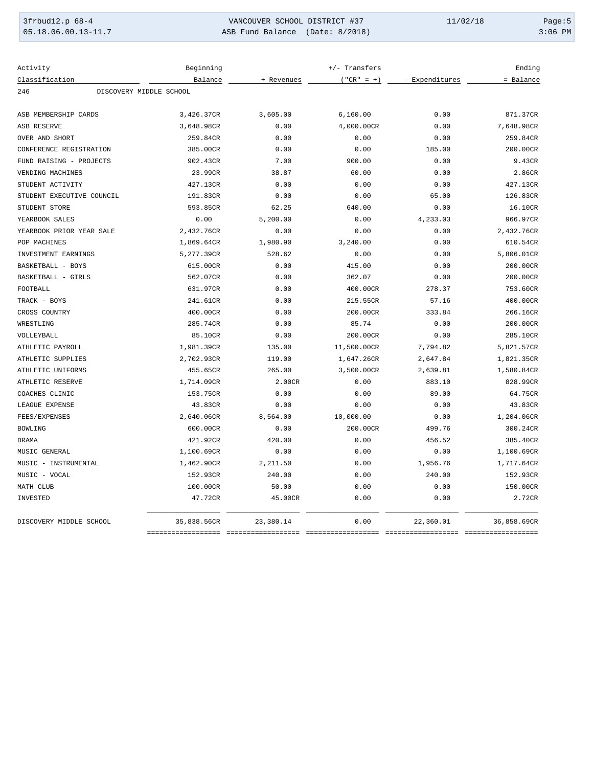| 3frbud12.p 68-4       | VANCOUVER SCHOOL DISTRICT #37   | 11/02/18 | Page: $5$ |
|-----------------------|---------------------------------|----------|-----------|
| $05.18.06.00.13-11.7$ | ASB Fund Balance (Date: 8/2018) |          | $3:06$ PM |

| Activity                  | Beginning               |            | +/- Transfers |                | Ending      |
|---------------------------|-------------------------|------------|---------------|----------------|-------------|
| Classification            | Balance                 | + Revenues | $("CR" = +)$  | - Expenditures | = Balance   |
| 246                       | DISCOVERY MIDDLE SCHOOL |            |               |                |             |
| ASB MEMBERSHIP CARDS      | 3,426.37CR              | 3,605.00   | 6, 160.00     | 0.00           | 871.37CR    |
| ASB RESERVE               | 3,648.98CR              | 0.00       | 4,000.00CR    | 0.00           | 7,648.98CR  |
| OVER AND SHORT            | 259.84CR                | 0.00       | 0.00          | 0.00           | 259.84CR    |
| CONFERENCE REGISTRATION   | 385.00CR                | 0.00       | 0.00          | 185.00         | 200.00CR    |
| FUND RAISING - PROJECTS   | 902.43CR                | 7.00       | 900.00        | 0.00           | 9.43CR      |
| VENDING MACHINES          | 23.99CR                 | 38.87      | 60.00         | 0.00           | 2.86CR      |
| STUDENT ACTIVITY          | 427.13CR                | 0.00       | 0.00          | 0.00           | 427.13CR    |
| STUDENT EXECUTIVE COUNCIL | 191.83CR                | 0.00       | 0.00          | 65.00          | 126.83CR    |
| STUDENT STORE             | 593.85CR                | 62.25      | 640.00        | 0.00           | 16.10CR     |
| YEARBOOK SALES            | 0.00                    | 5,200.00   | 0.00          | 4,233.03       | 966.97CR    |
| YEARBOOK PRIOR YEAR SALE  | 2,432.76CR              | 0.00       | 0.00          | 0.00           | 2,432.76CR  |
| POP MACHINES              | 1,869.64CR              | 1,980.90   | 3,240.00      | 0.00           | 610.54CR    |
| INVESTMENT EARNINGS       | 5,277.39CR              | 528.62     | 0.00          | 0.00           | 5,806.01CR  |
| BASKETBALL - BOYS         | 615.00CR                | 0.00       | 415.00        | 0.00           | 200.00CR    |
| BASKETBALL - GIRLS        | 562.07CR                | 0.00       | 362.07        | 0.00           | 200.00CR    |
| FOOTBALL                  | 631.97CR                | 0.00       | 400.00CR      | 278.37         | 753.60CR    |
| TRACK - BOYS              | 241.61CR                | 0.00       | 215.55CR      | 57.16          | 400.00CR    |
| CROSS COUNTRY             | 400.00CR                | 0.00       | 200.00CR      | 333.84         | 266.16CR    |
| WRESTLING                 | 285.74CR                | 0.00       | 85.74         | 0.00           | 200.00CR    |
| VOLLEYBALL                | 85.10CR                 | 0.00       | 200.00CR      | 0.00           | 285.10CR    |
| ATHLETIC PAYROLL          | 1,981.39CR              | 135.00     | 11,500.00CR   | 7,794.82       | 5,821.57CR  |
| ATHLETIC SUPPLIES         | 2,702.93CR              | 119.00     | 1,647.26CR    | 2,647.84       | 1,821.35CR  |
| ATHLETIC UNIFORMS         | 455.65CR                | 265.00     | 3,500.00CR    | 2,639.81       | 1,580.84CR  |
| ATHLETIC RESERVE          | 1,714.09CR              | 2.00CR     | 0.00          | 883.10         | 828.99CR    |
| COACHES CLINIC            | 153.75CR                | 0.00       | 0.00          | 89.00          | 64.75CR     |
| LEAGUE EXPENSE            | 43.83CR                 | 0.00       | 0.00          | 0.00           | 43.83CR     |
| FEES/EXPENSES             | 2,640.06CR              | 8,564.00   | 10,000.00     | 0.00           | 1,204.06CR  |
| <b>BOWLING</b>            | 600.00CR                | 0.00       | 200.00CR      | 499.76         | 300.24CR    |
| <b>DRAMA</b>              | 421.92CR                | 420.00     | 0.00          | 456.52         | 385.40CR    |
| MUSIC GENERAL             | 1,100.69CR              | 0.00       | 0.00          | 0.00           | 1,100.69CR  |
| MUSIC - INSTRUMENTAL      | 1,462.90CR              | 2,211.50   | 0.00          | 1,956.76       | 1,717.64CR  |
| MUSIC - VOCAL             | 152.93CR                | 240.00     | 0.00          | 240.00         | 152.93CR    |
| MATH CLUB                 | 100.00CR                | 50.00      | 0.00          | 0.00           | 150.00CR    |
| INVESTED                  | 47.72CR                 | 45.00CR    | 0.00          | 0.00           | 2.72CR      |
| DISCOVERY MIDDLE SCHOOL   | 35,838.56CR             | 23,380.14  | 0.00          | 22,360.01      | 36,858.69CR |
|                           | ==============          |            |               |                |             |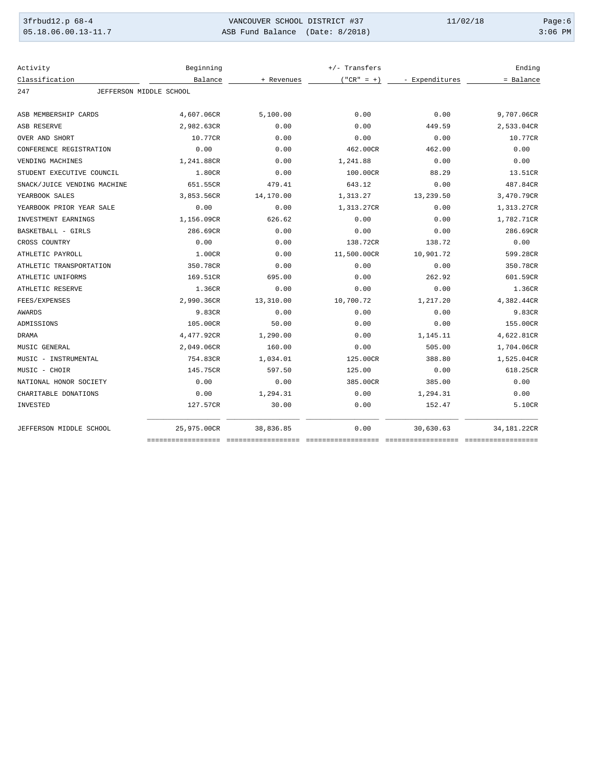| 3frbud12.p 68-4       | VANCOUVER SCHOOL DISTRICT #37   | 11/02/18 | Page:6    |
|-----------------------|---------------------------------|----------|-----------|
| $05.18.06.00.13-11.7$ | ASB Fund Balance (Date: 8/2018) |          | $3:06$ PM |

| Activity                       | Beginning   |            | +/- Transfers |                | Ending      |
|--------------------------------|-------------|------------|---------------|----------------|-------------|
| Classification                 | Balance     | + Revenues | $("CR" = +)$  | - Expenditures | = Balance   |
| JEFFERSON MIDDLE SCHOOL<br>247 |             |            |               |                |             |
| ASB MEMBERSHIP CARDS           | 4,607.06CR  | 5,100.00   | 0.00          | 0.00           | 9,707.06CR  |
| ASB RESERVE                    | 2,982.63CR  | 0.00       | 0.00          | 449.59         | 2,533.04CR  |
| OVER AND SHORT                 | 10.77CR     | 0.00       | 0.00          | 0.00           | 10.77CR     |
| CONFERENCE REGISTRATION        | 0.00        | 0.00       | 462.00CR      | 462.00         | 0.00        |
| VENDING MACHINES               | 1,241.88CR  | 0.00       | 1,241.88      | 0.00           | 0.00        |
| STUDENT EXECUTIVE COUNCIL      | 1.80CR      | 0.00       | 100.00CR      | 88.29          | 13.51CR     |
| SNACK/JUICE VENDING MACHINE    | 651.55CR    | 479.41     | 643.12        | 0.00           | 487.84CR    |
| YEARBOOK SALES                 | 3,853.56CR  | 14,170.00  | 1,313.27      | 13,239.50      | 3,470.79CR  |
| YEARBOOK PRIOR YEAR SALE       | 0.00        | 0.00       | 1,313.27CR    | 0.00           | 1,313.27CR  |
| INVESTMENT EARNINGS            | 1,156.09CR  | 626.62     | 0.00          | 0.00           | 1,782.71CR  |
| BASKETBALL - GIRLS             | 286.69CR    | 0.00       | 0.00          | 0.00           | 286.69CR    |
| CROSS COUNTRY                  | 0.00        | 0.00       | 138.72CR      | 138.72         | 0.00        |
| ATHLETIC PAYROLL               | 1.00CR      | 0.00       | 11,500.00CR   | 10,901.72      | 599.28CR    |
| ATHLETIC TRANSPORTATION        | 350.78CR    | 0.00       | 0.00          | 0.00           | 350.78CR    |
| ATHLETIC UNIFORMS              | 169.51CR    | 695.00     | 0.00          | 262.92         | 601.59CR    |
| ATHLETIC RESERVE               | 1.36CR      | 0.00       | 0.00          | 0.00           | 1.36CR      |
| FEES/EXPENSES                  | 2,990.36CR  | 13,310.00  | 10,700.72     | 1,217.20       | 4,382.44CR  |
| AWARDS                         | 9.83CR      | 0.00       | 0.00          | 0.00           | 9.83CR      |
| ADMISSIONS                     | 105.00CR    | 50.00      | 0.00          | 0.00           | 155.00CR    |
| <b>DRAMA</b>                   | 4,477.92CR  | 1,290.00   | 0.00          | 1,145.11       | 4,622.81CR  |
| MUSIC GENERAL                  | 2,049.06CR  | 160.00     | 0.00          | 505.00         | 1,704.06CR  |
| MUSIC - INSTRUMENTAL           | 754.83CR    | 1,034.01   | 125.00CR      | 388.80         | 1,525.04CR  |
| MUSIC - CHOIR                  | 145.75CR    | 597.50     | 125.00        | 0.00           | 618.25CR    |
| NATIONAL HONOR SOCIETY         | 0.00        | 0.00       | 385.00CR      | 385.00         | 0.00        |
| CHARITABLE DONATIONS           | 0.00        | 1,294.31   | 0.00          | 1,294.31       | 0.00        |
| INVESTED                       | 127.57CR    | 30.00      | 0.00          | 152.47         | 5.10CR      |
| JEFFERSON MIDDLE SCHOOL        | 25,975.00CR | 38,836.85  | 0.00          | 30,630.63      | 34,181.22CR |
|                                |             |            |               |                |             |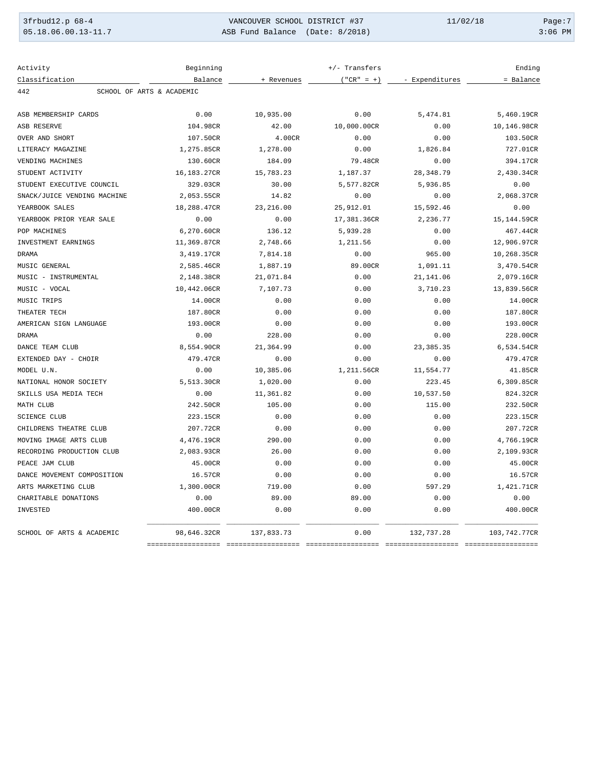| 3frbud12.p 68-4     | VANCOUVER SCHOOL DISTRICT #37   | 11/02/18 | Page:7    |
|---------------------|---------------------------------|----------|-----------|
| 05.18.06.00.13-11.7 | ASB Fund Balance (Date: 8/2018) |          | $3:06$ PM |

| Activity                         | Beginning   |            | +/- Transfers |                | Ending       |  |
|----------------------------------|-------------|------------|---------------|----------------|--------------|--|
| Classification                   | Balance     | + Revenues | $("CR" = +)$  | - Expenditures | = Balance    |  |
| 442<br>SCHOOL OF ARTS & ACADEMIC |             |            |               |                |              |  |
| ASB MEMBERSHIP CARDS             | 0.00        | 10,935.00  | 0.00          | 5,474.81       | 5,460.19CR   |  |
| ASB RESERVE                      | 104.98CR    | 42.00      | 10,000.00CR   | 0.00           | 10,146.98CR  |  |
| OVER AND SHORT                   | 107.50CR    | 4.00CR     | 0.00          | 0.00           | 103.50CR     |  |
| LITERACY MAGAZINE                | 1,275.85CR  | 1,278.00   | 0.00          | 1,826.84       | 727.01CR     |  |
| VENDING MACHINES                 | 130.60CR    | 184.09     | 79.48CR       | 0.00           | 394.17CR     |  |
| STUDENT ACTIVITY                 | 16,183.27CR | 15,783.23  | 1,187.37      | 28, 348.79     | 2,430.34CR   |  |
| STUDENT EXECUTIVE COUNCIL        | 329.03CR    | 30.00      | 5,577.82CR    | 5,936.85       | 0.00         |  |
| SNACK/JUICE VENDING MACHINE      | 2,053.55CR  | 14.82      | 0.00          | 0.00           | 2,068.37CR   |  |
| YEARBOOK SALES                   | 18,288.47CR | 23, 216.00 | 25,912.01     | 15,592.46      | 0.00         |  |
| YEARBOOK PRIOR YEAR SALE         | 0.00        | 0.00       | 17,381.36CR   | 2,236.77       | 15,144.59CR  |  |
| POP MACHINES                     | 6,270.60CR  | 136.12     | 5,939.28      | 0.00           | 467.44CR     |  |
| INVESTMENT EARNINGS              | 11,369.87CR | 2,748.66   | 1,211.56      | 0.00           | 12,906.97CR  |  |
| <b>DRAMA</b>                     | 3,419.17CR  | 7,814.18   | 0.00          | 965.00         | 10,268.35CR  |  |
| MUSIC GENERAL                    | 2,585.46CR  | 1,887.19   | 89.00CR       | 1,091.11       | 3,470.54CR   |  |
| MUSIC - INSTRUMENTAL             | 2,148.38CR  | 21,071.84  | 0.00          | 21, 141.06     | 2,079.16CR   |  |
| MUSIC - VOCAL                    | 10,442.06CR | 7,107.73   | 0.00          | 3,710.23       | 13,839.56CR  |  |
| MUSIC TRIPS                      | 14.00CR     | 0.00       | 0.00          | 0.00           | 14.00CR      |  |
| THEATER TECH                     | 187.80CR    | 0.00       | 0.00          | 0.00           | 187.80CR     |  |
| AMERICAN SIGN LANGUAGE           | 193.00CR    | 0.00       | 0.00          | 0.00           | 193.00CR     |  |
| <b>DRAMA</b>                     | 0.00        | 228.00     | 0.00          | 0.00           | 228.00CR     |  |
| DANCE TEAM CLUB                  | 8,554.90CR  | 21,364.99  | 0.00          | 23, 385.35     | 6,534.54CR   |  |
| EXTENDED DAY - CHOIR             | 479.47CR    | 0.00       | 0.00          | 0.00           | 479.47CR     |  |
| MODEL U.N.                       | 0.00        | 10,385.06  | 1,211.56CR    | 11,554.77      | 41.85CR      |  |
| NATIONAL HONOR SOCIETY           | 5,513.30CR  | 1,020.00   | 0.00          | 223.45         | 6,309.85CR   |  |
| SKILLS USA MEDIA TECH            | 0.00        | 11,361.82  | 0.00          | 10,537.50      | 824.32CR     |  |
| MATH CLUB                        | 242.50CR    | 105.00     | 0.00          | 115.00         | 232.50CR     |  |
| <b>SCIENCE CLUB</b>              | 223.15CR    | 0.00       | 0.00          | 0.00           | 223.15CR     |  |
| CHILDRENS THEATRE CLUB           | 207.72CR    | 0.00       | 0.00          | 0.00           | 207.72CR     |  |
| MOVING IMAGE ARTS CLUB           | 4,476.19CR  | 290.00     | 0.00          | 0.00           | 4,766.19CR   |  |
| RECORDING PRODUCTION CLUB        | 2,083.93CR  | 26.00      | 0.00          | 0.00           | 2,109.93CR   |  |
| PEACE JAM CLUB                   | 45.00CR     | 0.00       | 0.00          | 0.00           | 45.00CR      |  |
| DANCE MOVEMENT COMPOSITION       | 16.57CR     | 0.00       | 0.00          | 0.00           | 16.57CR      |  |
| ARTS MARKETING CLUB              | 1,300.00CR  | 719.00     | 0.00          | 597.29         | 1,421.71CR   |  |
| CHARITABLE DONATIONS             | 0.00        | 89.00      | 89.00         | 0.00           | 0.00         |  |
| INVESTED                         | 400.00CR    | 0.00       | 0.00          | 0.00           | 400.00CR     |  |
| SCHOOL OF ARTS & ACADEMIC        | 98,646.32CR | 137,833.73 | 0.00          | 132,737.28     | 103,742.77CR |  |
|                                  |             |            |               |                |              |  |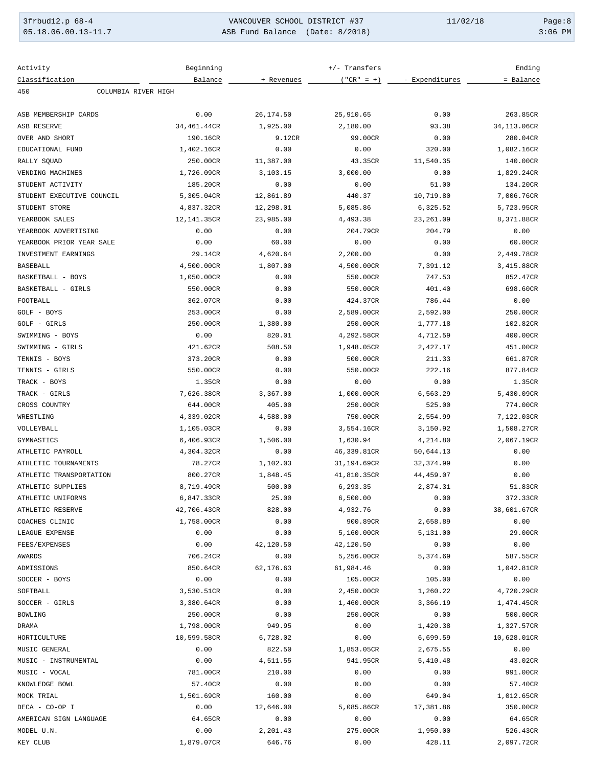| 3frbud12.p 68-4     | VANCOUVER SCHOOL DISTRICT #37   | 11/02/18 | Page:8    |
|---------------------|---------------------------------|----------|-----------|
| 05.18.06.00.13-11.7 | ASB Fund Balance (Date: 8/2018) |          | $3:06$ PM |

| Activity                   | Beginning   |            | +/- Transfers |                | Ending      |
|----------------------------|-------------|------------|---------------|----------------|-------------|
| Classification             | Balance     | + Revenues | $("CR" = +)$  | - Expenditures | = Balance   |
| 450<br>COLUMBIA RIVER HIGH |             |            |               |                |             |
| ASB MEMBERSHIP CARDS       |             |            |               |                |             |
|                            | 0.00        | 26,174.50  | 25,910.65     | 0.00           | 263.85CR    |
| ASB RESERVE                | 34,461.44CR | 1,925.00   | 2,180.00      | 93.38          | 34,113.06CR |
| OVER AND SHORT             | 190.16CR    | 9.12CR     | 99.00CR       | 0.00           | 280.04CR    |
| EDUCATIONAL FUND           | 1,402.16CR  | 0.00       | 0.00          | 320.00         | 1,082.16CR  |
| RALLY SOUAD                | 250.00CR    | 11,387.00  | 43.35CR       | 11,540.35      | 140.00CR    |
| VENDING MACHINES           | 1,726.09CR  | 3,103.15   | 3,000.00      | 0.00           | 1,829.24CR  |
| STUDENT ACTIVITY           | 185.20CR    | 0.00       | 0.00          | 51.00          | 134.20CR    |
| STUDENT EXECUTIVE COUNCIL  | 5,305.04CR  | 12,861.89  | 440.37        | 10,719.80      | 7,006.76CR  |
| STUDENT STORE              | 4,837.32CR  | 12,298.01  | 5,085.86      | 6,325.52       | 5,723.95CR  |
| YEARBOOK SALES             | 12,141.35CR | 23,985.00  | 4,493.38      | 23,261.09      | 8,371.88CR  |
| YEARBOOK ADVERTISING       | 0.00        | 0.00       | 204.79CR      | 204.79         | 0.00        |
| YEARBOOK PRIOR YEAR SALE   | 0.00        | 60.00      | 0.00          | 0.00           | 60.00CR     |
| INVESTMENT EARNINGS        | 29.14CR     | 4,620.64   | 2,200.00      | 0.00           | 2,449.78CR  |
| <b>BASEBALL</b>            | 4,500.00CR  | 1,807.00   | 4,500.00CR    | 7,391.12       | 3,415.88CR  |
| BASKETBALL - BOYS          | 1,050.00CR  | 0.00       | 550.00CR      | 747.53         | 852.47CR    |
| BASKETBALL - GIRLS         | 550.00CR    | 0.00       | 550.00CR      | 401.40         | 698.60CR    |
| FOOTBALL                   | 362.07CR    | 0.00       | 424.37CR      | 786.44         | 0.00        |
| GOLF - BOYS                | 253.00CR    | 0.00       | 2,589.00CR    | 2,592.00       | 250.00CR    |
| GOLF - GIRLS               | 250.00CR    | 1,380.00   | 250.00CR      | 1,777.18       | 102.82CR    |
| SWIMMING - BOYS            | 0.00        | 820.01     | 4,292.58CR    | 4,712.59       | 400.00CR    |
| SWIMMING - GIRLS           | 421.62CR    | 508.50     | 1,948.05CR    | 2,427.17       | 451.00CR    |
| TENNIS - BOYS              | 373.20CR    | 0.00       | 500.00CR      | 211.33         | 661.87CR    |
| TENNIS - GIRLS             | 550.00CR    | 0.00       | 550.00CR      | 222.16         | 877.84CR    |
| TRACK - BOYS               | 1.35CR      | 0.00       | 0.00          | 0.00           | 1.35CR      |
| TRACK - GIRLS              | 7,626.38CR  | 3,367.00   | 1,000.00CR    | 6,563.29       | 5,430.09CR  |
| CROSS COUNTRY              | 644.00CR    | 405.00     | 250.00CR      | 525.00         | 774.00CR    |
| WRESTLING                  | 4,339.02CR  | 4,588.00   | 750.00CR      | 2,554.99       | 7,122.03CR  |
| VOLLEYBALL                 | 1,105.03CR  | 0.00       | 3,554.16CR    | 3,150.92       | 1,508.27CR  |
| GYMNASTICS                 | 6,406.93CR  | 1,506.00   | 1,630.94      | 4,214.80       | 2,067.19CR  |
| ATHLETIC PAYROLL           | 4,304.32CR  | 0.00       | 46,339.81CR   | 50,644.13      | 0.00        |
| ATHLETIC TOURNAMENTS       | 78.27CR     | 1,102.03   | 31,194.69CR   | 32, 374.99     | 0.00        |
| ATHLETIC TRANSPORTATION    | 800.27CR    | 1,848.45   | 41,810.35CR   | 44,459.07      | 0.00        |
| ATHLETIC SUPPLIES          | 8,719.49CR  | 500.00     | 6,293.35      | 2,874.31       | 51.83CR     |
| ATHLETIC UNIFORMS          | 6,847.33CR  | 25.00      | 6,500.00      | 0.00           | 372.33CR    |
| ATHLETIC RESERVE           | 42,706.43CR | 828.00     | 4,932.76      | 0.00           | 38,601.67CR |
| COACHES CLINIC             | 1,758.00CR  | 0.00       | 900.89CR      | 2,658.89       | 0.00        |
| LEAGUE EXPENSE             | 0.00        | 0.00       | 5,160.00CR    | 5,131.00       | 29.00CR     |
| FEES/EXPENSES              | 0.00        | 42,120.50  | 42,120.50     | 0.00           | 0.00        |
| AWARDS                     | 706.24CR    | 0.00       | 5,256.00CR    | 5,374.69       | 587.55CR    |
| ADMISSIONS                 | 850.64CR    | 62,176.63  | 61,984.46     | 0.00           | 1,042.81CR  |
| SOCCER - BOYS              | 0.00        | 0.00       | 105.00CR      | 105.00         | 0.00        |
| SOFTBALL                   | 3,530.51CR  | 0.00       | 2,450.00CR    | 1,260.22       | 4,720.29CR  |
| SOCCER - GIRLS             | 3,380.64CR  | 0.00       | 1,460.00CR    | 3,366.19       | 1,474.45CR  |
| BOWLING                    | 250.00CR    | 0.00       | 250.00CR      | 0.00           | 500.00CR    |
| DRAMA                      | 1,798.00CR  | 949.95     | 0.00          | 1,420.38       | 1,327.57CR  |
| HORTICULTURE               | 10,599.58CR | 6,728.02   | 0.00          | 6,699.59       | 10,628.01CR |
| MUSIC GENERAL              | 0.00        | 822.50     | 1,853.05CR    | 2,675.55       | 0.00        |
| MUSIC - INSTRUMENTAL       | 0.00        | 4,511.55   | 941.95CR      | 5,410.48       | 43.02CR     |
| MUSIC - VOCAL              | 781.00CR    | 210.00     | 0.00          | 0.00           | 991.00CR    |
| KNOWLEDGE BOWL             | 57.40CR     | 0.00       | 0.00          | 0.00           | 57.40CR     |
| MOCK TRIAL                 | 1,501.69CR  | 160.00     | 0.00          | 649.04         | 1,012.65CR  |
| DECA - CO-OP I             | 0.00        | 12,646.00  | 5,085.86CR    | 17,381.86      | 350.00CR    |
| AMERICAN SIGN LANGUAGE     | 64.65CR     | 0.00       | 0.00          | 0.00           | 64.65CR     |
| MODEL U.N.                 | 0.00        | 2,201.43   | 275.00CR      | 1,950.00       | 526.43CR    |
| KEY CLUB                   | 1,879.07CR  | 646.76     | 0.00          | 428.11         | 2,097.72CR  |
|                            |             |            |               |                |             |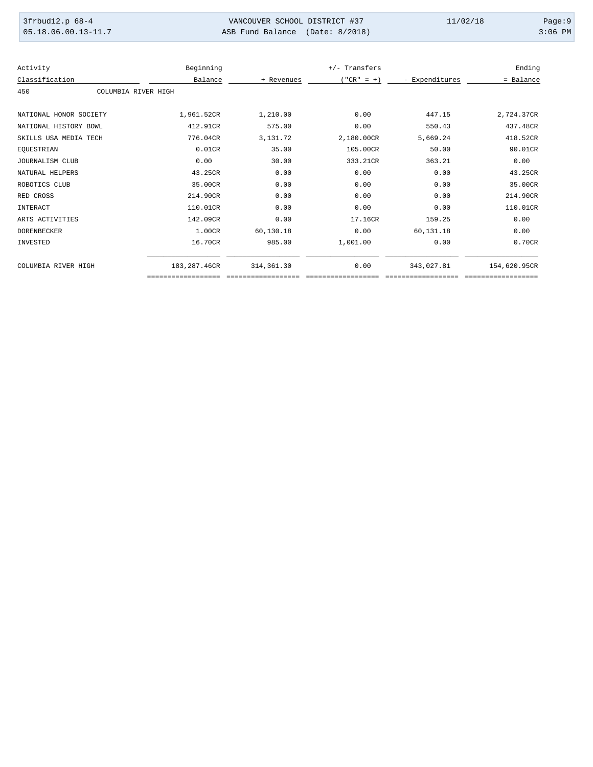| 3frbud12.p 68-4       | VANCOUVER SCHOOL DISTRICT #37   | 11/02/18 | Page:9    |
|-----------------------|---------------------------------|----------|-----------|
| $05.18.06.00.13-11.7$ | ASB Fund Balance (Date: 8/2018) |          | $3:06$ PM |

| Activity                   | Beginning     |            | +/- Transfers |                | Ending       |
|----------------------------|---------------|------------|---------------|----------------|--------------|
| Classification             | Balance       | + Revenues | $("CR" = +)$  | - Expenditures | = Balance    |
| 450<br>COLUMBIA RIVER HIGH |               |            |               |                |              |
|                            |               |            |               |                |              |
| NATIONAL HONOR SOCIETY     | 1,961.52CR    | 1,210.00   | 0.00          | 447.15         | 2,724.37CR   |
| NATIONAL HISTORY BOWL      | 412.91CR      | 575.00     | 0.00          | 550.43         | 437.48CR     |
| SKILLS USA MEDIA TECH      | 776.04CR      | 3,131.72   | 2,180.00CR    | 5,669.24       | 418.52CR     |
| EQUESTRIAN                 | 0.01CR        | 35.00      | 105.00CR      | 50.00          | 90.01CR      |
| JOURNALISM CLUB            | 0.00          | 30.00      | 333.21CR      | 363.21         | 0.00         |
| NATURAL HELPERS            | 43.25CR       | 0.00       | 0.00          | 0.00           | 43.25CR      |
| ROBOTICS CLUB              | 35.00CR       | 0.00       | 0.00          | 0.00           | 35.00CR      |
| RED CROSS                  | 214.90CR      | 0.00       | 0.00          | 0.00           | 214.90CR     |
| INTERACT                   | 110.01CR      | 0.00       | 0.00          | 0.00           | 110.01CR     |
| ARTS ACTIVITIES            | 142.09CR      | 0.00       | 17.16CR       | 159.25         | 0.00         |
| <b>DORENBECKER</b>         | 1.00CR        | 60,130.18  | 0.00          | 60,131.18      | 0.00         |
| INVESTED                   | 16.70CR       | 985.00     | 1,001.00      | 0.00           | 0.70CR       |
| COLUMBIA RIVER HIGH        | 183, 287.46CR | 314,361.30 | 0.00          | 343,027.81     | 154,620.95CR |
|                            |               |            |               |                |              |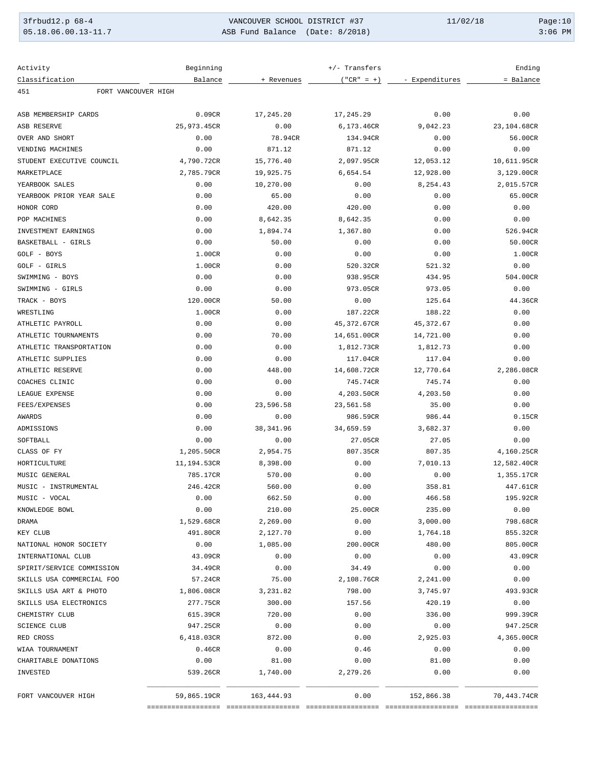| 3frbud12.p 68-4       | VANCOUVER SCHOOL DISTRICT #37   | 11/02/18 | Page:10   |
|-----------------------|---------------------------------|----------|-----------|
| $05.18.06.00.13-11.7$ | ASB Fund Balance (Date: 8/2018) |          | $3:06$ PM |

| Activity                   | Beginning   |            | +/- Transfers |                | Ending             |
|----------------------------|-------------|------------|---------------|----------------|--------------------|
| Classification             | Balance     | + Revenues | $("CR" = +)$  | - Expenditures | = Balance          |
| FORT VANCOUVER HIGH<br>451 |             |            |               |                |                    |
| ASB MEMBERSHIP CARDS       | 0.09CR      | 17,245.20  | 17,245.29     | 0.00           | 0.00               |
| ASB RESERVE                | 25,973.45CR | 0.00       | 6,173.46CR    | 9,042.23       | 23,104.68CR        |
| OVER AND SHORT             | 0.00        | 78.94CR    | 134.94CR      | 0.00           | 56.00CR            |
| VENDING MACHINES           | 0.00        | 871.12     | 871.12        | 0.00           | 0.00               |
| STUDENT EXECUTIVE COUNCIL  | 4,790.72CR  | 15,776.40  | 2,097.95CR    | 12,053.12      | 10,611.95CR        |
| MARKETPLACE                | 2,785.79CR  | 19,925.75  | 6,654.54      | 12,928.00      | 3,129.00CR         |
| YEARBOOK SALES             | 0.00        | 10,270.00  | 0.00          | 8,254.43       | 2,015.57CR         |
| YEARBOOK PRIOR YEAR SALE   | 0.00        | 65.00      | 0.00          | 0.00           | 65.00CR            |
| HONOR CORD                 | 0.00        | 420.00     | 420.00        | 0.00           | 0.00               |
| POP MACHINES               | 0.00        | 8,642.35   | 8,642.35      | 0.00           | 0.00               |
| INVESTMENT EARNINGS        | 0.00        | 1,894.74   | 1,367.80      | 0.00           | 526.94CR           |
| BASKETBALL - GIRLS         | 0.00        | 50.00      | 0.00          | 0.00           | 50.00CR            |
| GOLF - BOYS                | 1.00CR      | 0.00       | 0.00          | 0.00           | 1.00CR             |
| GOLF - GIRLS               | 1.00CR      | 0.00       | 520.32CR      | 521.32         | 0.00               |
| SWIMMING - BOYS            | 0.00        | 0.00       | 938.95CR      | 434.95         | 504.00CR           |
| SWIMMING - GIRLS           | 0.00        | 0.00       | 973.05CR      | 973.05         | 0.00               |
| TRACK - BOYS               | 120.00CR    | 50.00      | 0.00          | 125.64         | 44.36CR            |
| WRESTLING                  | 1.00CR      | 0.00       | 187.22CR      | 188.22         | 0.00               |
| ATHLETIC PAYROLL           | 0.00        | 0.00       | 45,372.67CR   | 45, 372.67     | 0.00               |
| ATHLETIC TOURNAMENTS       | 0.00        | 70.00      | 14,651.00CR   | 14,721.00      | 0.00               |
| ATHLETIC TRANSPORTATION    | 0.00        | 0.00       | 1,812.73CR    | 1,812.73       | 0.00               |
| ATHLETIC SUPPLIES          | 0.00        | 0.00       | 117.04CR      | 117.04         | 0.00               |
| ATHLETIC RESERVE           | 0.00        | 448.00     | 14,608.72CR   | 12,770.64      | 2,286.08CR         |
| COACHES CLINIC             | 0.00        | 0.00       | 745.74CR      | 745.74         | 0.00               |
| LEAGUE EXPENSE             | 0.00        | 0.00       | 4,203.50CR    | 4,203.50       | 0.00               |
| FEES/EXPENSES              | 0.00        | 23,596.58  | 23,561.58     | 35.00          | 0.00               |
| AWARDS                     | 0.00        | 0.00       | 986.59CR      | 986.44         | 0.15CR             |
| ADMISSIONS                 | 0.00        | 38, 341.96 | 34,659.59     | 3,682.37       | 0.00               |
| SOFTBALL                   | 0.00        | 0.00       | 27.05CR       | 27.05          | 0.00               |
| CLASS OF FY                | 1,205.50CR  | 2,954.75   | 807.35CR      | 807.35         | 4,160.25CR         |
| HORTICULTURE               | 11,194.53CR | 8,398.00   | 0.00          | 7,010.13       | 12,582.40CR        |
| MUSIC GENERAL              | 785.17CR    | 570.00     | 0.00          | 0.00           | 1,355.17CR         |
| MUSIC - INSTRUMENTAL       | 246.42CR    | 560.00     | 0.00          | 358.81         | 447.61CR           |
| MUSIC - VOCAL              | 0.00        | 662.50     | 0.00          | 466.58         | 195.92CR           |
| KNOWLEDGE BOWL             | 0.00        | 210.00     | 25.00CR       | 235.00         | 0.00               |
| DRAMA                      | 1,529.68CR  | 2,269.00   | 0.00          | 3,000.00       | 798.68CR           |
| KEY CLUB                   | 491.80CR    | 2,127.70   | 0.00          | 1,764.18       | 855.32CR           |
| NATIONAL HONOR SOCIETY     | 0.00        | 1,085.00   | 200.00CR      | 480.00         | 805.00CR           |
| INTERNATIONAL CLUB         | 43.09CR     | 0.00       | 0.00          | 0.00           | 43.09CR            |
| SPIRIT/SERVICE COMMISSION  | 34.49CR     | 0.00       | 34.49         | 0.00           | 0.00               |
| SKILLS USA COMMERCIAL FOO  | 57.24CR     | 75.00      | 2,108.76CR    | 2,241.00       | 0.00               |
| SKILLS USA ART & PHOTO     | 1,806.08CR  | 3,231.82   | 798.00        | 3,745.97       | 493.93CR           |
| SKILLS USA ELECTRONICS     | 277.75CR    | 300.00     | 157.56        | 420.19         | 0.00               |
| CHEMISTRY CLUB             | 615.39CR    | 720.00     | 0.00          | 336.00         | 999.39CR           |
| <b>SCIENCE CLUB</b>        | 947.25CR    | 0.00       | 0.00          | 0.00           | 947.25CR           |
| RED CROSS                  | 6,418.03CR  | 872.00     | 0.00          | 2,925.03       | 4,365.00CR         |
| WIAA TOURNAMENT            | 0.46CR      | 0.00       | 0.46          | 0.00           | 0.00               |
| CHARITABLE DONATIONS       | 0.00        | 81.00      | 0.00          | 81.00          | 0.00               |
| INVESTED                   | 539.26CR    | 1,740.00   | 2,279.26      | 0.00           | 0.00               |
| FORT VANCOUVER HIGH        | 59,865.19CR | 163,444.93 | 0.00          | 152,866.38     | 70,443.74CR        |
|                            |             |            |               |                | ================== |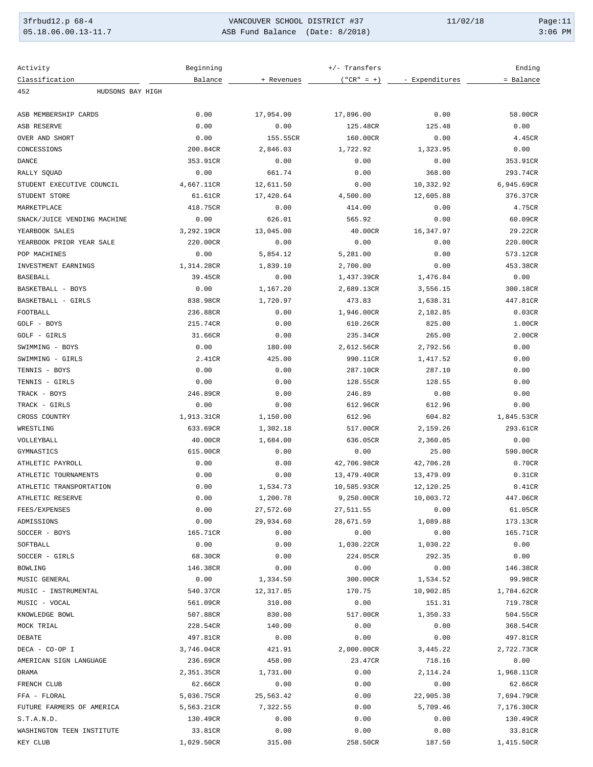| 3frbud12.p 68-4       | VANCOUVER SCHOOL DISTRICT #37   | 11/02/18 | Paqe:11   |
|-----------------------|---------------------------------|----------|-----------|
| $05.18.06.00.13-11.7$ | ASB Fund Balance (Date: 8/2018) |          | $3:06$ PM |

| Activity                    | Beginning  |                      | +/- Transfers |                | Ending     |
|-----------------------------|------------|----------------------|---------------|----------------|------------|
| Classification              | Balance    | + Revenues           | $("CR" = +)$  | - Expenditures | = Balance  |
| 452<br>HUDSONS BAY HIGH     |            |                      |               |                |            |
| ASB MEMBERSHIP CARDS        | 0.00       | 17,954.00            | 17,896.00     | 0.00           | 58.00CR    |
| ASB RESERVE                 | 0.00       | 0.00                 | 125.48CR      | 125.48         | 0.00       |
| OVER AND SHORT              | 0.00       | 155.55CR             | 160.00CR      | 0.00           | 4.45CR     |
| CONCESSIONS                 | 200.84CR   | 2,846.03             | 1,722.92      | 1,323.95       | 0.00       |
| DANCE                       | 353.91CR   | 0.00                 | 0.00          | 0.00           | 353.91CR   |
| RALLY SQUAD                 | 0.00       | 661.74               | 0.00          | 368.00         | 293.74CR   |
| STUDENT EXECUTIVE COUNCIL   | 4,667.11CR | 12,611.50            | 0.00          | 10,332.92      | 6,945.69CR |
| STUDENT STORE               | 61.61CR    | 17,420.64            | 4,500.00      | 12,605.88      | 376.37CR   |
| MARKETPLACE                 | 418.75CR   | 0.00                 | 414.00        | 0.00           | 4.75CR     |
| SNACK/JUICE VENDING MACHINE | 0.00       | 626.01               | 565.92        | 0.00           | 60.09CR    |
| YEARBOOK SALES              | 3,292.19CR | 13,045.00            | 40.00CR       | 16,347.97      | 29.22CR    |
| YEARBOOK PRIOR YEAR SALE    | 220.00CR   | 0.00                 | 0.00          | 0.00           | 220.00CR   |
| POP MACHINES                | 0.00       | 5,854.12             | 5,281.00      | 0.00           | 573.12CR   |
| INVESTMENT EARNINGS         | 1,314.28CR | 1,839.10             | 2,700.00      | 0.00           | 453.38CR   |
| BASEBALL                    | 39.45CR    | 0.00                 | 1,437.39CR    | 1,476.84       | 0.00       |
| BASKETBALL - BOYS           | 0.00       | 1,167.20             | 2,689.13CR    | 3,556.15       | 300.18CR   |
| BASKETBALL - GIRLS          | 838.98CR   | 1,720.97             | 473.83        | 1,638.31       | 447.81CR   |
| FOOTBALL                    | 236.88CR   | 0.00                 | 1,946.00CR    | 2,182.85       | 0.03CR     |
| GOLF - BOYS                 | 215.74CR   | 0.00                 | 610.26CR      | 825.00         | 1.00CR     |
| GOLF - GIRLS                | 31.66CR    | 0.00                 | 235.34CR      | 265.00         | 2.00CR     |
| SWIMMING - BOYS             | 0.00       | 180.00               | 2,612.56CR    | 2,792.56       | 0.00       |
| SWIMMING - GIRLS            | 2.41CR     | 425.00               | 990.11CR      | 1,417.52       | 0.00       |
| TENNIS - BOYS               | 0.00       | 0.00                 | 287.10CR      | 287.10         | 0.00       |
| TENNIS - GIRLS              | 0.00       | 0.00                 | 128.55CR      | 128.55         | 0.00       |
| TRACK - BOYS                | 246.89CR   | 0.00                 | 246.89        | 0.00           | 0.00       |
| TRACK - GIRLS               | 0.00       | 0.00                 | 612.96CR      | 612.96         | 0.00       |
| CROSS COUNTRY               | 1,913.31CR | 1,150.00             | 612.96        | 604.82         | 1,845.53CR |
| WRESTLING                   | 633.69CR   |                      | 517.00CR      |                | 293.61CR   |
|                             |            | 1,302.18<br>1,684.00 |               | 2,159.26       |            |
| VOLLEYBALL                  | 40.00CR    |                      | 636.05CR      | 2,360.05       | 0.00       |
| GYMNASTICS                  | 615.00CR   | 0.00                 | 0.00          | 25.00          | 590.00CR   |
| ATHLETIC PAYROLL            | 0.00       | 0.00                 | 42,706.98CR   | 42,706.28      | 0.70CR     |
| ATHLETIC TOURNAMENTS        | 0.00       | 0.00                 | 13,479.40CR   | 13,479.09      | 0.31CR     |
| ATHLETIC TRANSPORTATION     | 0.00       | 1,534.73             | 10,585.93CR   | 12,120.25      | 0.41CR     |
| ATHLETIC RESERVE            | 0.00       | 1,200.78             | 9,250.00CR    | 10,003.72      | 447.06CR   |
| FEES/EXPENSES               | 0.00       | 27,572.60            | 27,511.55     | 0.00           | 61.05CR    |
| ADMISSIONS                  | 0.00       | 29,934.60            | 28,671.59     | 1,089.88       | 173.13CR   |
| SOCCER - BOYS               | 165.71CR   | 0.00                 | 0.00          | 0.00           | 165.71CR   |
| SOFTBALL                    | 0.00       | 0.00                 | 1,030.22CR    | 1,030.22       | 0.00       |
| SOCCER - GIRLS              | 68.30CR    | 0.00                 | 224.05CR      | 292.35         | 0.00       |
| BOWLING                     | 146.38CR   | 0.00                 | 0.00          | 0.00           | 146.38CR   |
| MUSIC GENERAL               | 0.00       | 1,334.50             | 300.00CR      | 1,534.52       | 99.98CR    |
| MUSIC - INSTRUMENTAL        | 540.37CR   | 12,317.85            | 170.75        | 10,902.85      | 1,784.62CR |
| MUSIC - VOCAL               | 561.09CR   | 310.00               | 0.00          | 151.31         | 719.78CR   |
| KNOWLEDGE BOWL              | 507.88CR   | 830.00               | 517.00CR      | 1,350.33       | 504.55CR   |
| MOCK TRIAL                  | 228.54CR   | 140.00               | 0.00          | 0.00           | 368.54CR   |
| DEBATE                      | 497.81CR   | 0.00                 | 0.00          | 0.00           | 497.81CR   |
| DECA - CO-OP I              | 3,746.04CR | 421.91               | 2,000.00CR    | 3,445.22       | 2,722.73CR |
| AMERICAN SIGN LANGUAGE      | 236.69CR   | 458.00               | 23.47CR       | 718.16         | 0.00       |
| DRAMA                       | 2,351.35CR | 1,731.00             | 0.00          | 2,114.24       | 1,968.11CR |
| FRENCH CLUB                 | 62.66CR    | 0.00                 | 0.00          | 0.00           | 62.66CR    |
| FFA - FLORAL                | 5,036.75CR | 25,563.42            | 0.00          | 22,905.38      | 7,694.79CR |
| FUTURE FARMERS OF AMERICA   | 5,563.21CR | 7,322.55             | 0.00          | 5,709.46       | 7,176.30CR |
| S.T.A.N.D.                  | 130.49CR   | 0.00                 | 0.00          | 0.00           | 130.49CR   |
| WASHINGTON TEEN INSTITUTE   | 33.81CR    | 0.00                 | 0.00          | 0.00           | 33.81CR    |
| KEY CLUB                    | 1,029.50CR | 315.00               | 258.50CR      | 187.50         | 1,415.50CR |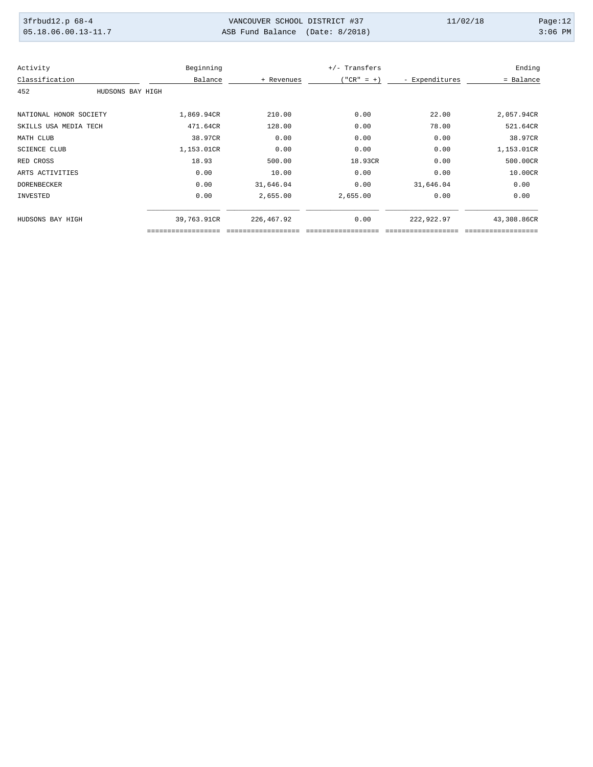| 3frbud12.p 68-4       | VANCOUVER SCHOOL DISTRICT #37   | 11/02/18 | Page: $12$ |
|-----------------------|---------------------------------|----------|------------|
| $05.18.06.00.13-11.7$ | ASB Fund Balance (Date: 8/2018) |          | $3:06$ PM  |

| Activity               |                  | Beginning   |             | +/- Transfers |                | Ending      |
|------------------------|------------------|-------------|-------------|---------------|----------------|-------------|
| Classification         |                  | Balance     | + Revenues  | $"CR" = +)$   | - Expenditures | = Balance   |
| 452                    | HUDSONS BAY HIGH |             |             |               |                |             |
| NATIONAL HONOR SOCIETY |                  | 1,869.94CR  | 210.00      | 0.00          | 22.00          | 2,057.94CR  |
| SKILLS USA MEDIA TECH  |                  | 471.64CR    | 128.00      | 0.00          | 78.00          | 521.64CR    |
| MATH CLUB              |                  | 38.97CR     | 0.00        | 0.00          | 0.00           | 38.97CR     |
| <b>SCIENCE CLUB</b>    |                  | 1,153.01CR  | 0.00        | 0.00          | 0.00           | 1,153.01CR  |
| RED CROSS              |                  | 18.93       | 500.00      | 18.93CR       | 0.00           | 500.00CR    |
| ARTS ACTIVITIES        |                  | 0.00        | 10.00       | 0.00          | 0.00           | 10.00CR     |
| <b>DORENBECKER</b>     |                  | 0.00        | 31,646.04   | 0.00          | 31,646.04      | 0.00        |
| INVESTED               |                  | 0.00        | 2,655.00    | 2,655.00      | 0.00           | 0.00        |
| HUDSONS BAY HIGH       |                  | 39,763.91CR | 226, 467.92 | 0.00          | 222,922.97     | 43,308.86CR |
|                        |                  |             |             |               |                |             |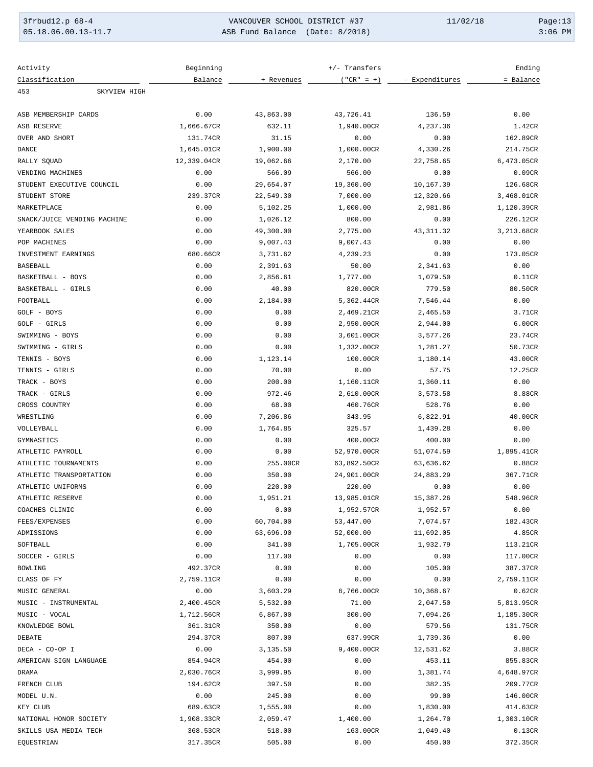| 3frbud12.p 68-4                 | VANCOUVER SCHOOL DISTRICT #37   | 11/02/18 | Page: $13$ |
|---------------------------------|---------------------------------|----------|------------|
| $\mid 05.18.06.00.13-11.7 \mid$ | ASB Fund Balance (Date: 8/2018) |          | $3:06$ PM  |

| Activity                    | Beginning   |            | +/- Transfers |                | Ending     |
|-----------------------------|-------------|------------|---------------|----------------|------------|
| Classification              | Balance     | + Revenues | $("CR" = +)$  | - Expenditures | = Balance  |
| 453<br>SKYVIEW HIGH         |             |            |               |                |            |
| ASB MEMBERSHIP CARDS        | 0.00        | 43,863.00  | 43,726.41     | 136.59         | 0.00       |
| <b>ASB RESERVE</b>          | 1,666.67CR  | 632.11     | 1,940.00CR    | 4,237.36       | 1.42CR     |
| OVER AND SHORT              | 131.74CR    | 31.15      | 0.00          | 0.00           | 162.89CR   |
| <b>DANCE</b>                | 1,645.01CR  | 1,900.00   | 1,000.00CR    | 4,330.26       | 214.75CR   |
| RALLY SQUAD                 | 12,339.04CR | 19,062.66  | 2,170.00      | 22,758.65      | 6,473.05CR |
| VENDING MACHINES            | 0.00        | 566.09     | 566.00        | 0.00           | 0.09CR     |
| STUDENT EXECUTIVE COUNCIL   | 0.00        | 29,654.07  | 19,360.00     | 10,167.39      | 126.68CR   |
| STUDENT STORE               | 239.37CR    | 22,549.30  | 7,000.00      | 12,320.66      | 3,468.01CR |
| MARKETPLACE                 | 0.00        | 5,102.25   | 1,000.00      | 2,981.86       | 1,120.39CR |
| SNACK/JUICE VENDING MACHINE | 0.00        | 1,026.12   | 800.00        | 0.00           | 226.12CR   |
| YEARBOOK SALES              | 0.00        | 49,300.00  | 2,775.00      | 43, 311.32     | 3,213.68CR |
| POP MACHINES                | 0.00        | 9,007.43   | 9,007.43      | 0.00           | 0.00       |
| INVESTMENT EARNINGS         | 680.66CR    | 3,731.62   | 4,239.23      | 0.00           | 173.05CR   |
| <b>BASEBALL</b>             | 0.00        | 2,391.63   | 50.00         | 2,341.63       | 0.00       |
| BASKETBALL - BOYS           | 0.00        | 2,856.61   | 1,777.00      | 1,079.50       | 0.11CR     |
| BASKETBALL - GIRLS          | 0.00        | 40.00      | 820.00CR      | 779.50         | 80.50CR    |
| FOOTBALL                    | 0.00        | 2,184.00   | 5,362.44CR    | 7,546.44       | 0.00       |
| GOLF - BOYS                 | 0.00        | 0.00       | 2,469.21CR    | 2,465.50       | 3.71CR     |
| GOLF - GIRLS                | 0.00        | 0.00       | 2,950.00CR    | 2,944.00       | 6.00CR     |
| SWIMMING - BOYS             | 0.00        | 0.00       | 3,601.00CR    | 3,577.26       | 23.74CR    |
| SWIMMING - GIRLS            | 0.00        | 0.00       | 1,332.00CR    | 1,281.27       | 50.73CR    |
| TENNIS - BOYS               | 0.00        | 1,123.14   | 100.00CR      | 1,180.14       | 43.00CR    |
| TENNIS - GIRLS              | 0.00        | 70.00      | 0.00          | 57.75          | 12.25CR    |
| TRACK - BOYS                | 0.00        | 200.00     | 1,160.11CR    | 1,360.11       | 0.00       |
| TRACK - GIRLS               | 0.00        | 972.46     | 2,610.00CR    | 3,573.58       | 8.88CR     |
| CROSS COUNTRY               | 0.00        | 68.00      | 460.76CR      | 528.76         | 0.00       |
| WRESTLING                   | 0.00        | 7,206.86   | 343.95        | 6,822.91       | 40.00CR    |
| VOLLEYBALL                  | 0.00        | 1,764.85   | 325.57        | 1,439.28       | 0.00       |
| GYMNASTICS                  | 0.00        | 0.00       | 400.00CR      | 400.00         | 0.00       |
| ATHLETIC PAYROLL            | 0.00        | 0.00       | 52,970.00CR   | 51,074.59      | 1,895.41CR |
| ATHLETIC TOURNAMENTS        | 0.00        | 255.00CR   | 63,892.50CR   | 63,636.62      | 0.88CR     |
| ATHLETIC TRANSPORTATION     | 0.00        | 350.00     | 24,901.00CR   | 24,883.29      | 367.71CR   |
| ATHLETIC UNIFORMS           | 0.00        | 220.00     | 220.00        | 0.00           | 0.00       |
| ATHLETIC RESERVE            | 0.00        | 1,951.21   | 13,985.01CR   | 15,387.26      | 548.96CR   |
| COACHES CLINIC              | 0.00        | 0.00       | 1,952.57CR    | 1,952.57       | 0.00       |
| FEES/EXPENSES               | 0.00        | 60,704.00  | 53,447.00     | 7,074.57       | 182.43CR   |
| ADMISSIONS                  | 0.00        | 63,696.90  | 52,000.00     | 11,692.05      | 4.85CR     |
| SOFTBALL                    | 0.00        | 341.00     | 1,705.00CR    | 1,932.79       | 113.21CR   |
| SOCCER - GIRLS              | 0.00        | 117.00     | 0.00          | 0.00           | 117.00CR   |
| <b>BOWLING</b>              | 492.37CR    | 0.00       | 0.00          | 105.00         | 387.37CR   |
| CLASS OF FY                 | 2,759.11CR  | 0.00       | 0.00          | 0.00           | 2,759.11CR |
| MUSIC GENERAL               | 0.00        | 3,603.29   | 6,766.00CR    | 10,368.67      | 0.62CR     |
| MUSIC - INSTRUMENTAL        | 2,400.45CR  | 5,532.00   | 71.00         | 2,047.50       | 5,813.95CR |
| MUSIC - VOCAL               | 1,712.56CR  | 6,867.00   | 300.00        | 7,094.26       | 1,185.30CR |
| KNOWLEDGE BOWL              | 361.31CR    | 350.00     | 0.00          | 579.56         | 131.75CR   |
| DEBATE                      | 294.37CR    | 807.00     | 637.99CR      | 1,739.36       | 0.00       |
| DECA - CO-OP I              | 0.00        | 3,135.50   | 9,400.00CR    | 12,531.62      | 3.88CR     |
| AMERICAN SIGN LANGUAGE      | 854.94CR    | 454.00     | 0.00          | 453.11         | 855.83CR   |
| DRAMA                       | 2,030.76CR  | 3,999.95   | 0.00          | 1,381.74       | 4,648.97CR |
| FRENCH CLUB                 | 194.62CR    | 397.50     | 0.00          | 382.35         | 209.77CR   |
| MODEL U.N.                  | 0.00        | 245.00     | 0.00          | 99.00          | 146.00CR   |
| KEY CLUB                    | 689.63CR    | 1,555.00   | 0.00          | 1,830.00       | 414.63CR   |
| NATIONAL HONOR SOCIETY      | 1,908.33CR  | 2,059.47   | 1,400.00      | 1,264.70       | 1,303.10CR |
| SKILLS USA MEDIA TECH       | 368.53CR    | 518.00     | 163.00CR      | 1,049.40       | 0.13CR     |
| EQUESTRIAN                  | 317.35CR    | 505.00     | 0.00          | 450.00         | 372.35CR   |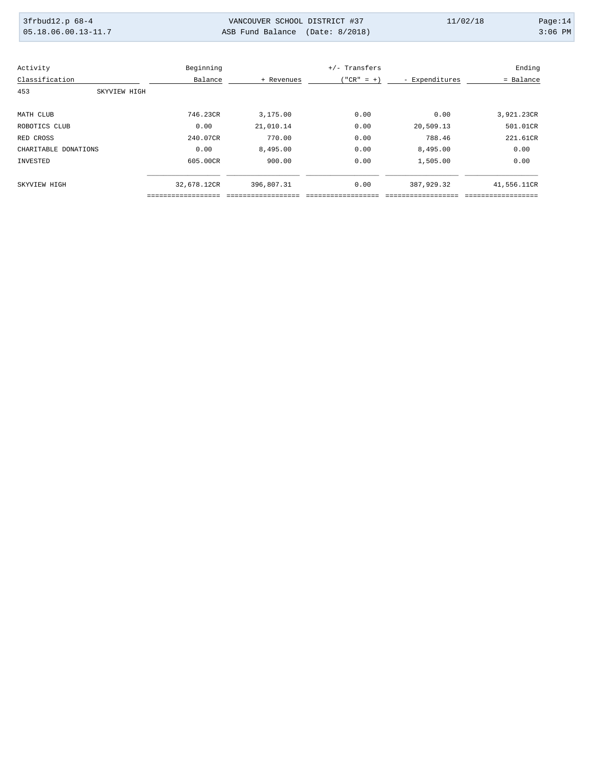| 3frbud12.p 68-4       | VANCOUVER SCHOOL DISTRICT #37   | 11/02/18 | Page: $14$ |
|-----------------------|---------------------------------|----------|------------|
| $05.18.06.00.13-11.7$ | ASB Fund Balance (Date: 8/2018) |          | $3:06$ PM  |

| Activity             | Beginning   |            | +/- Transfers |                | Ending      |
|----------------------|-------------|------------|---------------|----------------|-------------|
| Classification       | Balance     | + Revenues | $("CR" = +)$  | - Expenditures | = Balance   |
| 453<br>SKYVIEW HIGH  |             |            |               |                |             |
| MATH CLUB            | 746.23CR    | 3,175.00   | 0.00          | 0.00           | 3,921.23CR  |
| ROBOTICS CLUB        | 0.00        | 21,010.14  | 0.00          | 20,509.13      | 501.01CR    |
| RED CROSS            | 240.07CR    | 770.00     | 0.00          | 788.46         | 221.61CR    |
| CHARITABLE DONATIONS | 0.00        | 8,495.00   | 0.00          | 8,495.00       | 0.00        |
| INVESTED             | 605.00CR    | 900.00     | 0.00          | 1,505.00       | 0.00        |
| SKYVIEW HIGH         | 32,678.12CR | 396,807.31 | 0.00          | 387,929.32     | 41,556.11CR |
|                      |             |            |               |                |             |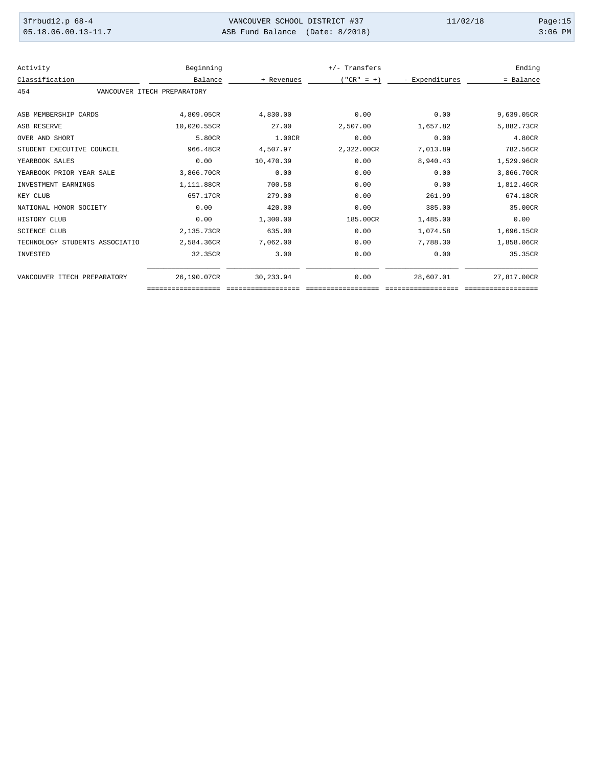| 3frbud12.p 68-4                 | VANCOUVER SCHOOL DISTRICT #37   | 11/02/18 | Page: $15$ |
|---------------------------------|---------------------------------|----------|------------|
| $\mid 05.18.06.00.13-11.7 \mid$ | ASB Fund Balance (Date: 8/2018) |          | $3:06$ PM  |

| Activity                       | Beginning                   |            | +/- Transfers |                | Ending      |
|--------------------------------|-----------------------------|------------|---------------|----------------|-------------|
| Classification                 | Balance                     | + Revenues | $("CR" = +)$  | - Expenditures | = Balance   |
| 454                            | VANCOUVER ITECH PREPARATORY |            |               |                |             |
| ASB MEMBERSHIP CARDS           | 4,809.05CR                  | 4,830.00   | 0.00          | 0.00           | 9,639.05CR  |
| <b>ASB RESERVE</b>             | 10,020.55CR                 | 27.00      | 2,507.00      | 1,657.82       | 5,882.73CR  |
| OVER AND SHORT                 | 5.80CR                      | 1.00CR     | 0.00          | 0.00           | 4.80CR      |
| STUDENT EXECUTIVE COUNCIL      | 966.48CR                    | 4,507.97   | 2,322.00CR    | 7,013.89       | 782.56CR    |
| YEARBOOK SALES                 | 0.00                        | 10,470.39  | 0.00          | 8,940.43       | 1,529.96CR  |
| YEARBOOK PRIOR YEAR SALE       | 3,866.70CR                  | 0.00       | 0.00          | 0.00           | 3,866.70CR  |
| INVESTMENT EARNINGS            | 1,111.88CR                  | 700.58     | 0.00          | 0.00           | 1,812.46CR  |
| KEY CLUB                       | 657.17CR                    | 279.00     | 0.00          | 261.99         | 674.18CR    |
| NATIONAL HONOR SOCIETY         | 0.00                        | 420.00     | 0.00          | 385.00         | 35.00CR     |
| HISTORY CLUB                   | 0.00                        | 1,300.00   | 185.00CR      | 1,485.00       | 0.00        |
| <b>SCIENCE CLUB</b>            | 2,135.73CR                  | 635.00     | 0.00          | 1,074.58       | 1,696.15CR  |
| TECHNOLOGY STUDENTS ASSOCIATIO | 2,584.36CR                  | 7,062.00   | 0.00          | 7,788.30       | 1,858.06CR  |
| INVESTED                       | 32.35CR                     | 3.00       | 0.00          | 0.00           | 35.35CR     |
| VANCOUVER ITECH PREPARATORY    | 26,190.07CR                 | 30,233.94  | 0.00          | 28,607.01      | 27,817.00CR |
|                                |                             |            |               |                |             |